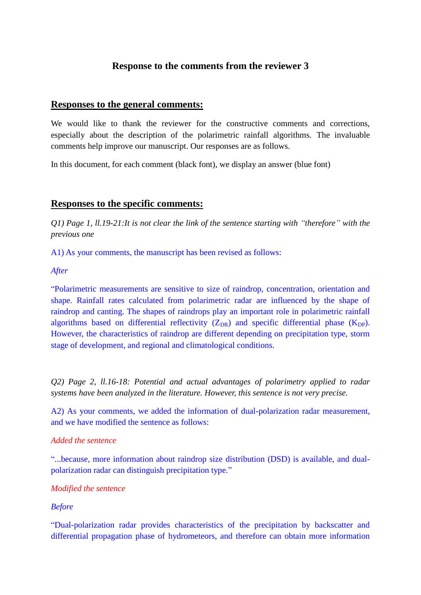# **Response to the comments from the reviewer 3**

## **Responses to the general comments:**

We would like to thank the reviewer for the constructive comments and corrections, especially about the description of the polarimetric rainfall algorithms. The invaluable comments help improve our manuscript. Our responses are as follows.

In this document, for each comment (black font), we display an answer (blue font)

## **Responses to the specific comments:**

*Q1) Page 1, ll.19-21:It is not clear the link of the sentence starting with "therefore" with the previous one*

A1) As your comments, the manuscript has been revised as follows:

#### *After*

"Polarimetric measurements are sensitive to size of raindrop, concentration, orientation and shape. Rainfall rates calculated from polarimetric radar are influenced by the shape of raindrop and canting. The shapes of raindrops play an important role in polarimetric rainfall algorithms based on differential reflectivity  $(Z_{DR})$  and specific differential phase  $(K_{DP})$ . However, the characteristics of raindrop are different depending on precipitation type, storm stage of development, and regional and climatological conditions.

*Q2) Page 2, ll.16-18: Potential and actual advantages of polarimetry applied to radar systems have been analyzed in the literature. However, this sentence is not very precise.* 

A2) As your comments, we added the information of dual-polarization radar measurement, and we have modified the sentence as follows:

#### *Added the sentence*

"...because, more information about raindrop size distribution (DSD) is available, and dualpolarization radar can distinguish precipitation type."

#### *Modified the sentence*

#### *Before*

"Dual-polarization radar provides characteristics of the precipitation by backscatter and differential propagation phase of hydrometeors, and therefore can obtain more information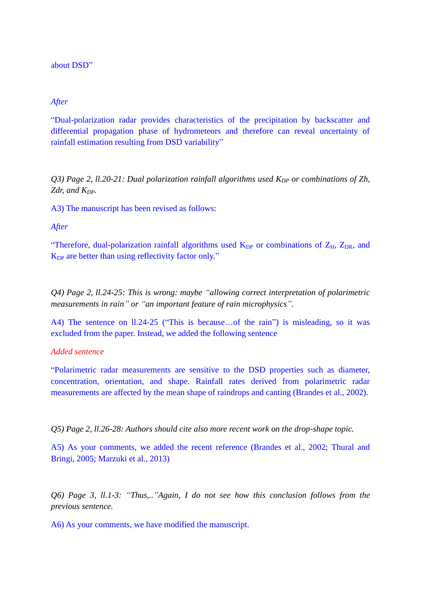about DSD"

#### *After*

"Dual-polarization radar provides characteristics of the precipitation by backscatter and differential propagation phase of hydrometeors and therefore can reveal uncertainty of rainfall estimation resulting from DSD variability"

*Q3) Page 2, ll.20-21: Dual polarization rainfall algorithms used K<sub>DP</sub> or combinations of Zh, Zdr, and KDP.* 

A3) The manuscript has been revised as follows:

*After*

"Therefore, dual-polarization rainfall algorithms used  $K_{DP}$  or combinations of  $Z_H$ ,  $Z_{DR}$ , and  $K_{DP}$  are better than using reflectivity factor only."

*Q4) Page 2, ll.24-25: This is wrong: maybe "allowing correct interpretation of polarimetric measurements in rain" or "an important feature of rain microphysics".*

A4) The sentence on ll.24-25 ("This is because…of the rain") is misleading, so it was excluded from the paper. Instead, we added the following sentence

### *Added sentence*

"Polarimetric radar measurements are sensitive to the DSD properties such as diameter, concentration, orientation, and shape. Rainfall rates derived from polarimetric radar measurements are affected by the mean shape of raindrops and canting (Brandes et al., 2002).

*Q5) Page 2, ll.26-28: Authors should cite also more recent work on the drop-shape topic.*

A5) As your comments, we added the recent reference (Brandes et al., 2002; Thural and Bringi, 2005; Marzuki et al., 2013)

*Q6) Page 3, ll.1-3: "Thus,.."Again, I do not see how this conclusion follows from the previous sentence.*

A6) As your comments, we have modified the manuscript.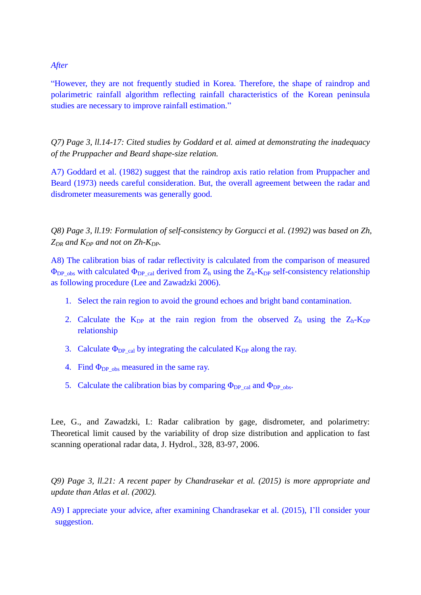#### *After*

"However, they are not frequently studied in Korea. Therefore, the shape of raindrop and polarimetric rainfall algorithm reflecting rainfall characteristics of the Korean peninsula studies are necessary to improve rainfall estimation."

*Q7) Page 3, ll.14-17: Cited studies by Goddard et al. aimed at demonstrating the inadequacy of the Pruppacher and Beard shape-size relation.*

A7) Goddard et al. (1982) suggest that the raindrop axis ratio relation from Pruppacher and Beard (1973) needs careful consideration. But, the overall agreement between the radar and disdrometer measurements was generally good.

*Q8) Page 3, ll.19: Formulation of self-consistency by Gorgucci et al. (1992) was based on Zh, ZDR and KDP and not on Zh-KDP.*

A8) The calibration bias of radar reflectivity is calculated from the comparison of measured  $\Phi_{DP}$ <sub>obs</sub> with calculated  $\Phi_{DP}$ <sub>cal</sub> derived from  $Z_h$  using the  $Z_h$ -K<sub>DP</sub> self-consistency relationship as following procedure (Lee and Zawadzki 2006).

- 1. Select the rain region to avoid the ground echoes and bright band contamination.
- 2. Calculate the  $K_{DP}$  at the rain region from the observed  $Z_h$  using the  $Z_h$ -K<sub>DP</sub> relationship
- 3. Calculate  $\Phi_{DP \text{cal}}$  by integrating the calculated  $K_{DP}$  along the ray.
- 4. Find  $\Phi_{DP}$ <sub>obs</sub> measured in the same ray.
- 5. Calculate the calibration bias by comparing  $\Phi_{DP\cal{O}}_{\text{cal}}$  and  $\Phi_{DP\cal{O}}_{\text{obs}}$ .

Lee, G., and Zawadzki, I.: Radar calibration by gage, disdrometer, and polarimetry: Theoretical limit caused by the variability of drop size distribution and application to fast scanning operational radar data, J. Hydrol., 328, 83-97, 2006.

*Q9) Page 3, ll.21: A recent paper by Chandrasekar et al. (2015) is more appropriate and update than Atlas et al. (2002).*

A9) I appreciate your advice, after examining Chandrasekar et al. (2015), I'll consider your suggestion.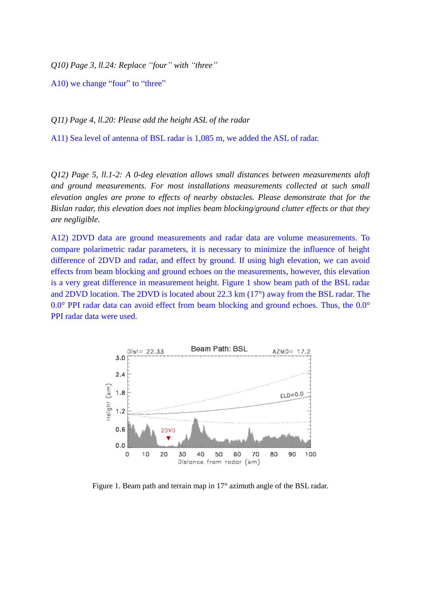*Q10) Page 3, ll.24: Replace "four" with "three"*

A10) we change "four" to "three"

*Q11) Page 4, ll.20: Please add the height ASL of the radar*

A11) Sea level of antenna of BSL radar is 1,085 m, we added the ASL of radar.

*Q12) Page 5, ll.1-2: A 0-deg elevation allows small distances between measurements aloft and ground measurements. For most installations measurements collected at such small elevation angles are prone to effects of nearby obstacles. Please demonstrate that for the Bislan radar, this elevation does not implies beam blocking/ground clutter effects or that they are negligible.* 

A12) 2DVD data are ground measurements and radar data are volume measurements. To compare polarimetric radar parameters, it is necessary to minimize the influence of height difference of 2DVD and radar, and effect by ground. If using high elevation, we can avoid effects from beam blocking and ground echoes on the measurements, however, this elevation is a very great difference in measurement height. Figure 1 show beam path of the BSL radar and 2DVD location. The 2DVD is located about 22.3 km (17°) away from the BSL radar. The 0.0° PPI radar data can avoid effect from beam blocking and ground echoes. Thus, the 0.0° PPI radar data were used.



Figure 1. Beam path and terrain map in 17° azimuth angle of the BSL radar.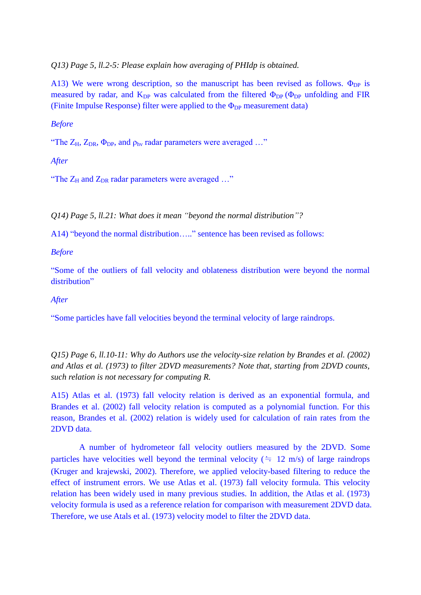*Q13) Page 5, ll.2-5: Please explain how averaging of PHIdp is obtained.*

A13) We were wrong description, so the manuscript has been revised as follows.  $\Phi_{DP}$  is measured by radar, and  $K_{DP}$  was calculated from the filtered  $\Phi_{DP}$  ( $\Phi_{DP}$  unfolding and FIR (Finite Impulse Response) filter were applied to the  $\Phi_{DP}$  measurement data)

*Before*

"The  $Z_H$ ,  $Z_{DR}$ ,  $\Phi_{DP}$ , and  $\rho_{hv}$  radar parameters were averaged ..."

*After*

"The  $Z_H$  and  $Z_{DR}$  radar parameters were averaged ..."

*Q14) Page 5, ll.21: What does it mean "beyond the normal distribution"?*

A14) "beyond the normal distribution….." sentence has been revised as follows:

*Before*

"Some of the outliers of fall velocity and oblateness distribution were beyond the normal distribution"

*After*

"Some particles have fall velocities beyond the terminal velocity of large raindrops.

*Q15) Page 6, ll.10-11: Why do Authors use the velocity-size relation by Brandes et al. (2002) and Atlas et al. (1973) to filter 2DVD measurements? Note that, starting from 2DVD counts, such relation is not necessary for computing R.*

A15) Atlas et al. (1973) fall velocity relation is derived as an exponential formula, and Brandes et al. (2002) fall velocity relation is computed as a polynomial function. For this reason, Brandes et al. (2002) relation is widely used for calculation of rain rates from the 2DVD data.

A number of hydrometeor fall velocity outliers measured by the 2DVD. Some particles have velocities well beyond the terminal velocity ( $\approx$  12 m/s) of large raindrops (Kruger and krajewski, 2002). Therefore, we applied velocity-based filtering to reduce the effect of instrument errors. We use Atlas et al. (1973) fall velocity formula. This velocity relation has been widely used in many previous studies. In addition, the Atlas et al. (1973) velocity formula is used as a reference relation for comparison with measurement 2DVD data. Therefore, we use Atals et al. (1973) velocity model to filter the 2DVD data.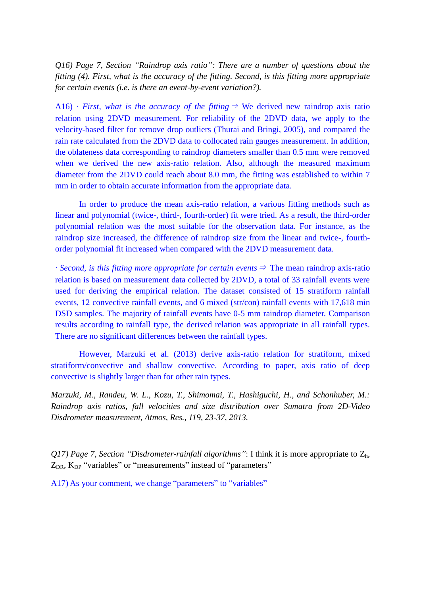*Q16) Page 7, Section "Raindrop axis ratio": There are a number of questions about the fitting (4). First, what is the accuracy of the fitting. Second, is this fitting more appropriate for certain events (i.e. is there an event-by-event variation?).*

A16) *∙ First, what is the accuracy of the fitting*<sup>⇒</sup> We derived new raindrop axis ratio relation using 2DVD measurement. For reliability of the 2DVD data, we apply to the velocity-based filter for remove drop outliers (Thurai and Bringi, 2005), and compared the rain rate calculated from the 2DVD data to collocated rain gauges measurement. In addition, the oblateness data corresponding to raindrop diameters smaller than 0.5 mm were removed when we derived the new axis-ratio relation. Also, although the measured maximum diameter from the 2DVD could reach about 8.0 mm, the fitting was established to within 7 mm in order to obtain accurate information from the appropriate data.

In order to produce the mean axis-ratio relation, a various fitting methods such as linear and polynomial (twice-, third-, fourth-order) fit were tried. As a result, the third-order polynomial relation was the most suitable for the observation data. For instance, as the raindrop size increased, the difference of raindrop size from the linear and twice-, fourthorder polynomial fit increased when compared with the 2DVD measurement data.

*∙ Second, is this fitting more appropriate for certain events*<sup>⇒</sup> The mean raindrop axis-ratio relation is based on measurement data collected by 2DVD, a total of 33 rainfall events were used for deriving the empirical relation. The dataset consisted of 15 stratiform rainfall events, 12 convective rainfall events, and 6 mixed (str/con) rainfall events with 17,618 min DSD samples. The majority of rainfall events have 0-5 mm raindrop diameter. Comparison results according to rainfall type, the derived relation was appropriate in all rainfall types. There are no significant differences between the rainfall types.

However, Marzuki et al. (2013) derive axis-ratio relation for stratiform, mixed stratiform/convective and shallow convective. According to paper, axis ratio of deep convective is slightly larger than for other rain types.

*Marzuki, M., Randeu, W. L., Kozu, T., Shimomai, T., Hashiguchi, H., and Schonhuber, M.: Raindrop axis ratios, fall velocities and size distribution over Sumatra from 2D-Video Disdrometer measurement, Atmos, Res., 119, 23-37, 2013.*

*Q17) Page 7, Section "Disdrometer-rainfall algorithms"*: I think it is more appropriate to  $Z_h$ ,  $Z_{DR}$ ,  $K_{DP}$  "variables" or "measurements" instead of "parameters"

A17) As your comment, we change "parameters" to "variables"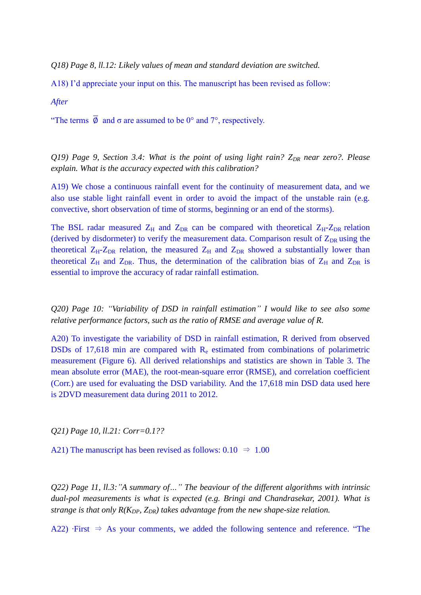*Q18) Page 8, ll.12: Likely values of mean and standard deviation are switched.*

A18) I'd appreciate your input on this. The manuscript has been revised as follow:

*After*

"The terms  $\overline{\emptyset}$  and  $\sigma$  are assumed to be 0° and 7°, respectively.

*Q19) Page 9, Section 3.4: What is the point of using light rain? ZDR near zero?. Please explain. What is the accuracy expected with this calibration?*

A19) We chose a continuous rainfall event for the continuity of measurement data, and we also use stable light rainfall event in order to avoid the impact of the unstable rain (e.g. convective, short observation of time of storms, beginning or an end of the storms).

The BSL radar measured  $Z_H$  and  $Z_{DR}$  can be compared with theoretical  $Z_H-Z_{DR}$  relation (derived by disdormeter) to verify the measurement data. Comparison result of  $Z_{DR}$  using the theoretical  $Z_H-Z_{DR}$  relation, the measured  $Z_H$  and  $Z_{DR}$  showed a substantially lower than theoretical  $Z_H$  and  $Z_{DR}$ . Thus, the determination of the calibration bias of  $Z_H$  and  $Z_{DR}$  is essential to improve the accuracy of radar rainfall estimation.

*Q20) Page 10: "Variability of DSD in rainfall estimation" I would like to see also some relative performance factors, such as the ratio of RMSE and average value of R.*

A20) To investigate the variability of DSD in rainfall estimation, R derived from observed DSDs of 17,618 min are compared with R<sup>e</sup> estimated from combinations of polarimetric measurement (Figure 6). All derived relationships and statistics are shown in Table 3. The mean absolute error (MAE), the root-mean-square error (RMSE), and correlation coefficient (Corr.) are used for evaluating the DSD variability. And the 17,618 min DSD data used here is 2DVD measurement data during 2011 to 2012.

*Q21) Page 10, ll.21: Corr=0.1??*

A21) The manuscript has been revised as follows:  $0.10 \Rightarrow 1.00$ 

*Q22) Page 11, ll.3:"A summary of…" The beaviour of the different algorithms with intrinsic dual-pol measurements is what is expected (e.g. Bringi and Chandrasekar, 2001). What is strange is that only R(KDP, ZDR) takes advantage from the new shape-size relation.*

A22) ∙First ⇒ As your comments, we added the following sentence and reference. "The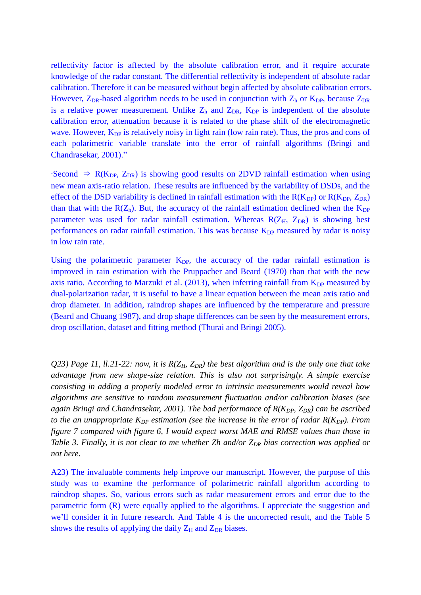reflectivity factor is affected by the absolute calibration error, and it require accurate knowledge of the radar constant. The differential reflectivity is independent of absolute radar calibration. Therefore it can be measured without begin affected by absolute calibration errors. However,  $Z_{DR}$ -based algorithm needs to be used in conjunction with  $Z_h$  or  $K_{DP}$ , because  $Z_{DR}$ is a relative power measurement. Unlike  $Z_h$  and  $Z_{DR}$ ,  $K_{DP}$  is independent of the absolute calibration error, attenuation because it is related to the phase shift of the electromagnetic wave. However,  $K_{DP}$  is relatively noisy in light rain (low rain rate). Thus, the pros and cons of each polarimetric variable translate into the error of rainfall algorithms (Bringi and Chandrasekar, 2001)."

 $\cdot$ Second  $\Rightarrow$  R(K<sub>DP</sub>, Z<sub>DR</sub>) is showing good results on 2DVD rainfall estimation when using new mean axis-ratio relation. These results are influenced by the variability of DSDs, and the effect of the DSD variability is declined in rainfall estimation with the  $R(K_{DP})$  or  $R(K_{DP}, Z_{DR})$ than that with the  $R(Z_h)$ . But, the accuracy of the rainfall estimation declined when the  $K_{DP}$ parameter was used for radar rainfall estimation. Whereas  $R(Z_H, Z_{DR})$  is showing best performances on radar rainfall estimation. This was because  $K_{DP}$  measured by radar is noisy in low rain rate.

Using the polarimetric parameter  $K_{DP}$ , the accuracy of the radar rainfall estimation is improved in rain estimation with the Pruppacher and Beard (1970) than that with the new axis ratio. According to Marzuki et al. (2013), when inferring rainfall from  $K_{DP}$  measured by dual-polarization radar, it is useful to have a linear equation between the mean axis ratio and drop diameter. In addition, raindrop shapes are influenced by the temperature and pressure (Beard and Chuang 1987), and drop shape differences can be seen by the measurement errors, drop oscillation, dataset and fitting method (Thurai and Bringi 2005).

*Q23) Page 11, ll.21-22: now, it is R(ZH, ZDR) the best algorithm and is the only one that take advantage from new shape-size relation. This is also not surprisingly. A simple exercise consisting in adding a properly modeled error to intrinsic measurements would reveal how algorithms are sensitive to random measurement fluctuation and/or calibration biases (see again Bringi and Chandrasekar, 2001). The bad performance of R(KDP, ZDR) can be ascribed to the an unappropriate K<sub>DP</sub> estimation (see the increase in the error of radar R(K<sub>DP</sub>). From figure 7 compared with figure 6, I would expect worst MAE and RMSE values than those in Table 3. Finally, it is not clear to me whether Zh and/or ZDR bias correction was applied or not here.*

A23) The invaluable comments help improve our manuscript. However, the purpose of this study was to examine the performance of polarimetric rainfall algorithm according to raindrop shapes. So, various errors such as radar measurement errors and error due to the parametric form (R) were equally applied to the algorithms. I appreciate the suggestion and we'll consider it in future research. And Table 4 is the uncorrected result, and the Table 5 shows the results of applying the daily  $Z_H$  and  $Z_{DR}$  biases.